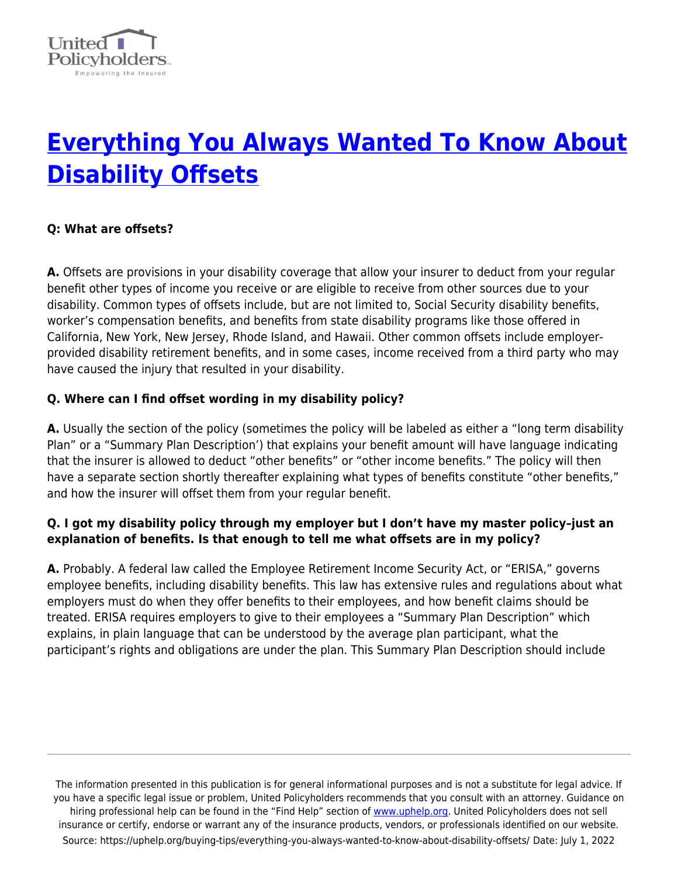

# **[Everything You Always Wanted To Know About](https://uphelp.org/buying-tips/everything-you-always-wanted-to-know-about-disability-offsets/) [Disability Offsets](https://uphelp.org/buying-tips/everything-you-always-wanted-to-know-about-disability-offsets/)**

#### **Q: What are offsets?**

**A.** Offsets are provisions in your disability coverage that allow your insurer to deduct from your regular benefit other types of income you receive or are eligible to receive from other sources due to your disability. Common types of offsets include, but are not limited to, Social Security disability benefits, worker's compensation benefits, and benefits from state disability programs like those offered in California, New York, New Jersey, Rhode Island, and Hawaii. Other common offsets include employerprovided disability retirement benefits, and in some cases, income received from a third party who may have caused the injury that resulted in your disability.

#### **Q. Where can I find offset wording in my disability policy?**

**A.** Usually the section of the policy (sometimes the policy will be labeled as either a "long term disability Plan" or a "Summary Plan Description') that explains your benefit amount will have language indicating that the insurer is allowed to deduct "other benefits" or "other income benefits." The policy will then have a separate section shortly thereafter explaining what types of benefits constitute "other benefits," and how the insurer will offset them from your regular benefit.

#### **Q. I got my disability policy through my employer but I don't have my master policy–just an explanation of benefits. Is that enough to tell me what offsets are in my policy?**

**A.** Probably. A federal law called the Employee Retirement Income Security Act, or "ERISA," governs employee benefits, including disability benefits. This law has extensive rules and regulations about what employers must do when they offer benefits to their employees, and how benefit claims should be treated. ERISA requires employers to give to their employees a "Summary Plan Description" which explains, in plain language that can be understood by the average plan participant, what the participant's rights and obligations are under the plan. This Summary Plan Description should include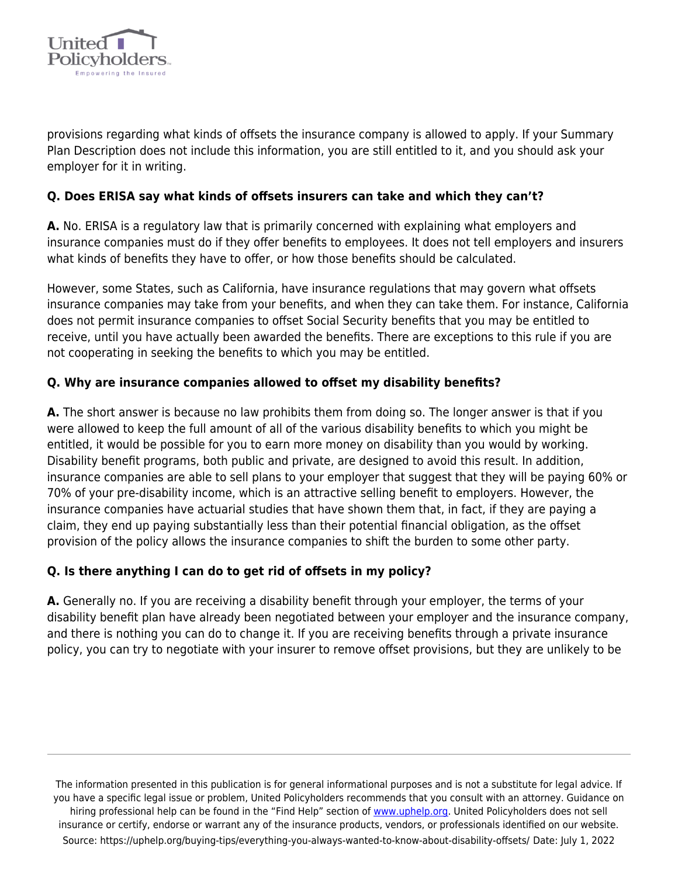

provisions regarding what kinds of offsets the insurance company is allowed to apply. If your Summary Plan Description does not include this information, you are still entitled to it, and you should ask your employer for it in writing.

#### **Q. Does ERISA say what kinds of offsets insurers can take and which they can't?**

**A.** No. ERISA is a regulatory law that is primarily concerned with explaining what employers and insurance companies must do if they offer benefits to employees. It does not tell employers and insurers what kinds of benefits they have to offer, or how those benefits should be calculated.

However, some States, such as California, have insurance regulations that may govern what offsets insurance companies may take from your benefits, and when they can take them. For instance, California does not permit insurance companies to offset Social Security benefits that you may be entitled to receive, until you have actually been awarded the benefits. There are exceptions to this rule if you are not cooperating in seeking the benefits to which you may be entitled.

#### **Q. Why are insurance companies allowed to offset my disability benefits?**

**A.** The short answer is because no law prohibits them from doing so. The longer answer is that if you were allowed to keep the full amount of all of the various disability benefits to which you might be entitled, it would be possible for you to earn more money on disability than you would by working. Disability benefit programs, both public and private, are designed to avoid this result. In addition, insurance companies are able to sell plans to your employer that suggest that they will be paying 60% or 70% of your pre-disability income, which is an attractive selling benefit to employers. However, the insurance companies have actuarial studies that have shown them that, in fact, if they are paying a claim, they end up paying substantially less than their potential financial obligation, as the offset provision of the policy allows the insurance companies to shift the burden to some other party.

#### **Q. Is there anything I can do to get rid of offsets in my policy?**

**A.** Generally no. If you are receiving a disability benefit through your employer, the terms of your disability benefit plan have already been negotiated between your employer and the insurance company, and there is nothing you can do to change it. If you are receiving benefits through a private insurance policy, you can try to negotiate with your insurer to remove offset provisions, but they are unlikely to be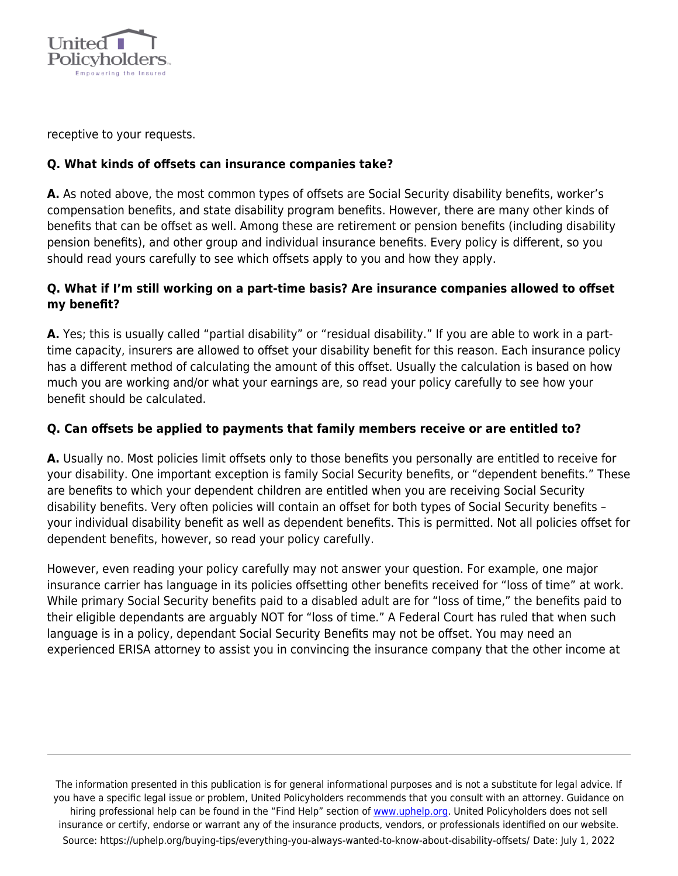

receptive to your requests.

### **Q. What kinds of offsets can insurance companies take?**

**A.** As noted above, the most common types of offsets are Social Security disability benefits, worker's compensation benefits, and state disability program benefits. However, there are many other kinds of benefits that can be offset as well. Among these are retirement or pension benefits (including disability pension benefits), and other group and individual insurance benefits. Every policy is different, so you should read yours carefully to see which offsets apply to you and how they apply.

#### **Q. What if I'm still working on a part-time basis? Are insurance companies allowed to offset my benefit?**

**A.** Yes; this is usually called "partial disability" or "residual disability." If you are able to work in a parttime capacity, insurers are allowed to offset your disability benefit for this reason. Each insurance policy has a different method of calculating the amount of this offset. Usually the calculation is based on how much you are working and/or what your earnings are, so read your policy carefully to see how your benefit should be calculated.

#### **Q. Can offsets be applied to payments that family members receive or are entitled to?**

**A.** Usually no. Most policies limit offsets only to those benefits you personally are entitled to receive for your disability. One important exception is family Social Security benefits, or "dependent benefits." These are benefits to which your dependent children are entitled when you are receiving Social Security disability benefits. Very often policies will contain an offset for both types of Social Security benefits – your individual disability benefit as well as dependent benefits. This is permitted. Not all policies offset for dependent benefits, however, so read your policy carefully.

However, even reading your policy carefully may not answer your question. For example, one major insurance carrier has language in its policies offsetting other benefits received for "loss of time" at work. While primary Social Security benefits paid to a disabled adult are for "loss of time," the benefits paid to their eligible dependants are arguably NOT for "loss of time." A Federal Court has ruled that when such language is in a policy, dependant Social Security Benefits may not be offset. You may need an experienced ERISA attorney to assist you in convincing the insurance company that the other income at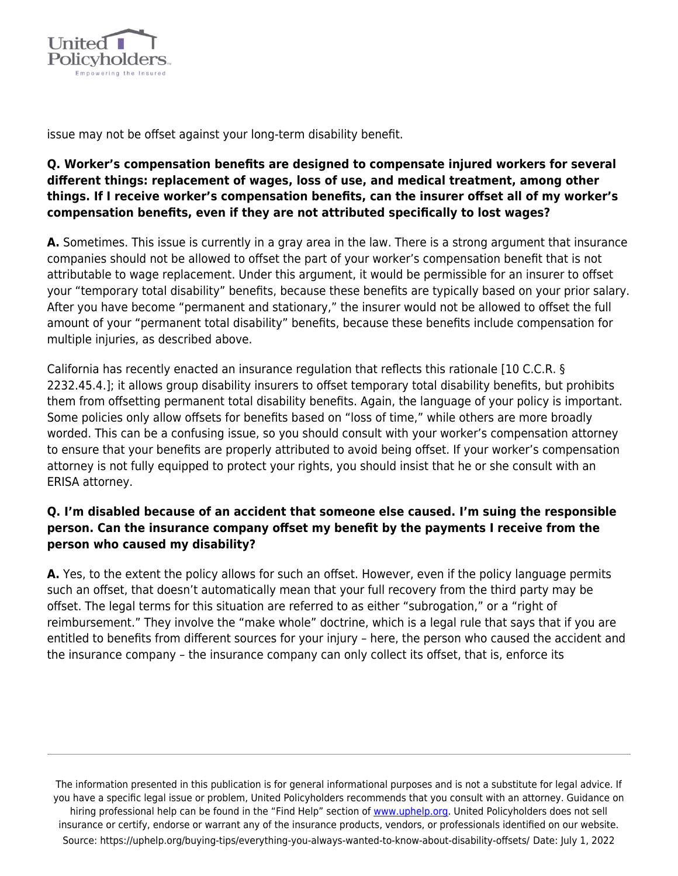

issue may not be offset against your long-term disability benefit.

## **Q. Worker's compensation benefits are designed to compensate injured workers for several different things: replacement of wages, loss of use, and medical treatment, among other things. If I receive worker's compensation benefits, can the insurer offset all of my worker's compensation benefits, even if they are not attributed specifically to lost wages?**

**A.** Sometimes. This issue is currently in a gray area in the law. There is a strong argument that insurance companies should not be allowed to offset the part of your worker's compensation benefit that is not attributable to wage replacement. Under this argument, it would be permissible for an insurer to offset your "temporary total disability" benefits, because these benefits are typically based on your prior salary. After you have become "permanent and stationary," the insurer would not be allowed to offset the full amount of your "permanent total disability" benefits, because these benefits include compensation for multiple injuries, as described above.

California has recently enacted an insurance regulation that reflects this rationale [10 C.C.R. § 2232.45.4.]; it allows group disability insurers to offset temporary total disability benefits, but prohibits them from offsetting permanent total disability benefits. Again, the language of your policy is important. Some policies only allow offsets for benefits based on "loss of time," while others are more broadly worded. This can be a confusing issue, so you should consult with your worker's compensation attorney to ensure that your benefits are properly attributed to avoid being offset. If your worker's compensation attorney is not fully equipped to protect your rights, you should insist that he or she consult with an ERISA attorney.

### **Q. I'm disabled because of an accident that someone else caused. I'm suing the responsible person. Can the insurance company offset my benefit by the payments I receive from the person who caused my disability?**

**A.** Yes, to the extent the policy allows for such an offset. However, even if the policy language permits such an offset, that doesn't automatically mean that your full recovery from the third party may be offset. The legal terms for this situation are referred to as either "subrogation," or a "right of reimbursement." They involve the "make whole" doctrine, which is a legal rule that says that if you are entitled to benefits from different sources for your injury – here, the person who caused the accident and the insurance company – the insurance company can only collect its offset, that is, enforce its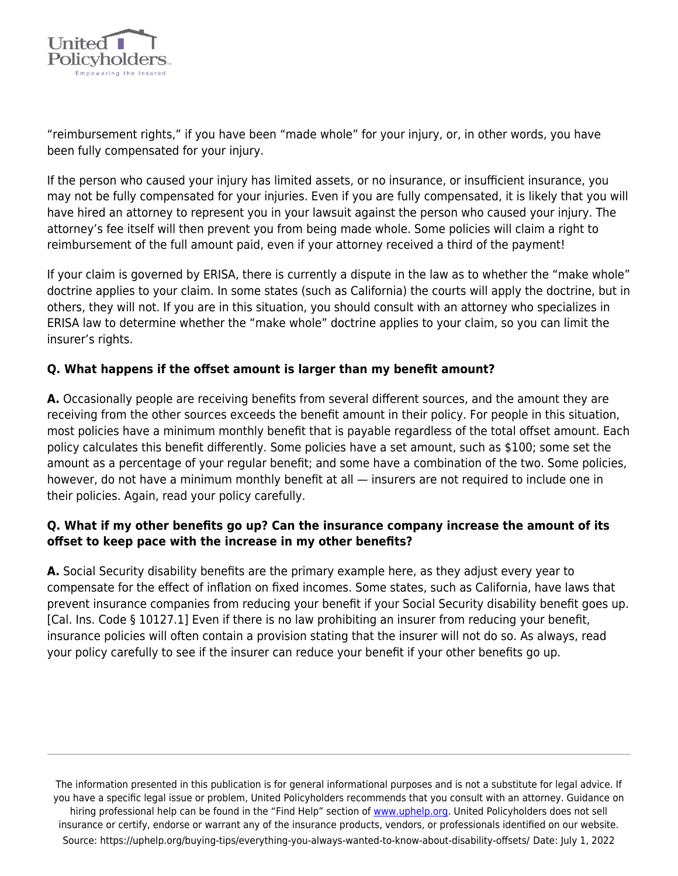

"reimbursement rights," if you have been "made whole" for your injury, or, in other words, you have been fully compensated for your injury.

If the person who caused your injury has limited assets, or no insurance, or insufficient insurance, you may not be fully compensated for your injuries. Even if you are fully compensated, it is likely that you will have hired an attorney to represent you in your lawsuit against the person who caused your injury. The attorney's fee itself will then prevent you from being made whole. Some policies will claim a right to reimbursement of the full amount paid, even if your attorney received a third of the payment!

If your claim is governed by ERISA, there is currently a dispute in the law as to whether the "make whole" doctrine applies to your claim. In some states (such as California) the courts will apply the doctrine, but in others, they will not. If you are in this situation, you should consult with an attorney who specializes in ERISA law to determine whether the "make whole" doctrine applies to your claim, so you can limit the insurer's rights.

#### **Q. What happens if the offset amount is larger than my benefit amount?**

**A.** Occasionally people are receiving benefits from several different sources, and the amount they are receiving from the other sources exceeds the benefit amount in their policy. For people in this situation, most policies have a minimum monthly benefit that is payable regardless of the total offset amount. Each policy calculates this benefit differently. Some policies have a set amount, such as \$100; some set the amount as a percentage of your regular benefit; and some have a combination of the two. Some policies, however, do not have a minimum monthly benefit at all — insurers are not required to include one in their policies. Again, read your policy carefully.

#### **Q. What if my other benefits go up? Can the insurance company increase the amount of its offset to keep pace with the increase in my other benefits?**

**A.** Social Security disability benefits are the primary example here, as they adjust every year to compensate for the effect of inflation on fixed incomes. Some states, such as California, have laws that prevent insurance companies from reducing your benefit if your Social Security disability benefit goes up. [Cal. Ins. Code § 10127.1] Even if there is no law prohibiting an insurer from reducing your benefit, insurance policies will often contain a provision stating that the insurer will not do so. As always, read your policy carefully to see if the insurer can reduce your benefit if your other benefits go up.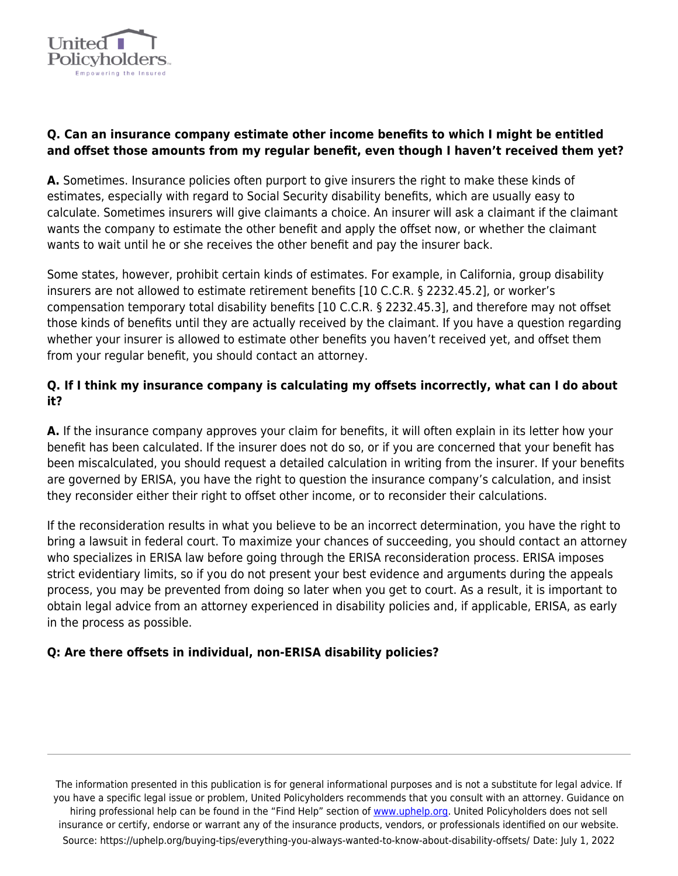

### **Q. Can an insurance company estimate other income benefits to which I might be entitled and offset those amounts from my regular benefit, even though I haven't received them yet?**

**A.** Sometimes. Insurance policies often purport to give insurers the right to make these kinds of estimates, especially with regard to Social Security disability benefits, which are usually easy to calculate. Sometimes insurers will give claimants a choice. An insurer will ask a claimant if the claimant wants the company to estimate the other benefit and apply the offset now, or whether the claimant wants to wait until he or she receives the other benefit and pay the insurer back.

Some states, however, prohibit certain kinds of estimates. For example, in California, group disability insurers are not allowed to estimate retirement benefits [10 C.C.R. § 2232.45.2], or worker's compensation temporary total disability benefits [10 C.C.R. § 2232.45.3], and therefore may not offset those kinds of benefits until they are actually received by the claimant. If you have a question regarding whether your insurer is allowed to estimate other benefits you haven't received yet, and offset them from your regular benefit, you should contact an attorney.

## **Q. If I think my insurance company is calculating my offsets incorrectly, what can I do about it?**

**A.** If the insurance company approves your claim for benefits, it will often explain in its letter how your benefit has been calculated. If the insurer does not do so, or if you are concerned that your benefit has been miscalculated, you should request a detailed calculation in writing from the insurer. If your benefits are governed by ERISA, you have the right to question the insurance company's calculation, and insist they reconsider either their right to offset other income, or to reconsider their calculations.

If the reconsideration results in what you believe to be an incorrect determination, you have the right to bring a lawsuit in federal court. To maximize your chances of succeeding, you should contact an attorney who specializes in ERISA law before going through the ERISA reconsideration process. ERISA imposes strict evidentiary limits, so if you do not present your best evidence and arguments during the appeals process, you may be prevented from doing so later when you get to court. As a result, it is important to obtain legal advice from an attorney experienced in disability policies and, if applicable, ERISA, as early in the process as possible.

## **Q: Are there offsets in individual, non-ERISA disability policies?**